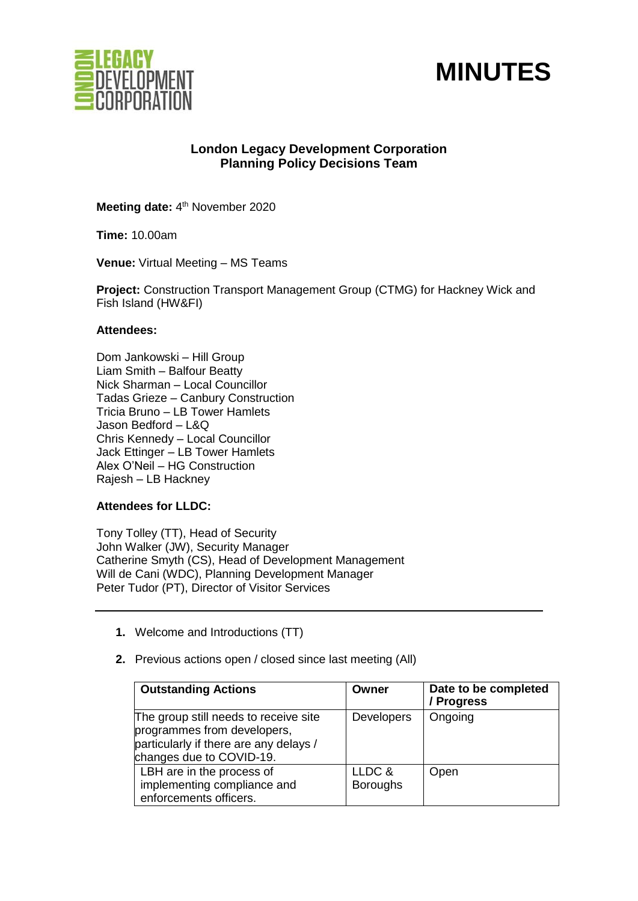



# **London Legacy Development Corporation Planning Policy Decisions Team**

Meeting date: 4<sup>th</sup> November 2020

**Time:** 10.00am

**Venue:** Virtual Meeting – MS Teams

**Project:** Construction Transport Management Group (CTMG) for Hackney Wick and Fish Island (HW&FI)

#### **Attendees:**

Dom Jankowski – Hill Group Liam Smith – Balfour Beatty Nick Sharman – Local Councillor Tadas Grieze – Canbury Construction Tricia Bruno – LB Tower Hamlets Jason Bedford – L&Q Chris Kennedy – Local Councillor Jack Ettinger – LB Tower Hamlets Alex O'Neil – HG Construction Rajesh – LB Hackney

#### **Attendees for LLDC:**

Tony Tolley (TT), Head of Security John Walker (JW), Security Manager Catherine Smyth (CS), Head of Development Management Will de Cani (WDC), Planning Development Manager Peter Tudor (PT), Director of Visitor Services

- **1.** Welcome and Introductions (TT)
- **2.** Previous actions open / closed since last meeting (All)

| <b>Outstanding Actions</b>                                                                                                                 | Owner                     | Date to be completed<br>/ Progress |
|--------------------------------------------------------------------------------------------------------------------------------------------|---------------------------|------------------------------------|
| The group still needs to receive site<br>programmes from developers,<br>particularly if there are any delays /<br>changes due to COVID-19. | <b>Developers</b>         | Ongoing                            |
| LBH are in the process of<br>implementing compliance and<br>enforcements officers.                                                         | LLDC &<br><b>Boroughs</b> | Open                               |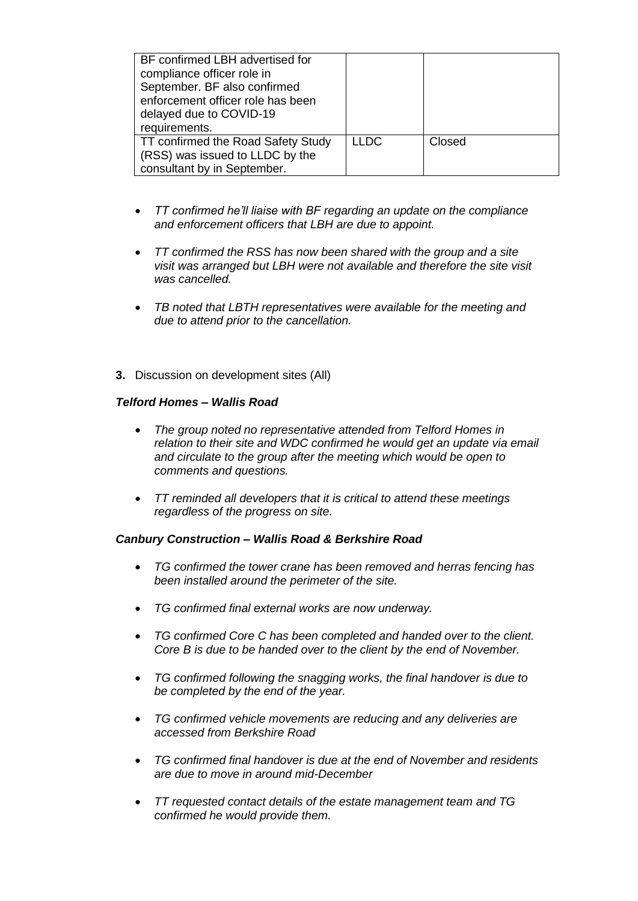| BF confirmed LBH advertised for<br>compliance officer role in<br>September. BF also confirmed<br>enforcement officer role has been<br>delayed due to COVID-19<br>requirements. |             |        |
|--------------------------------------------------------------------------------------------------------------------------------------------------------------------------------|-------------|--------|
| TT confirmed the Road Safety Study<br>(RSS) was issued to LLDC by the<br>consultant by in September.                                                                           | <b>LLDC</b> | Closed |

- *TT confirmed he'll liaise with BF regarding an update on the compliance and enforcement officers that LBH are due to appoint.*
- *TT confirmed the RSS has now been shared with the group and a site visit was arranged but LBH were not available and therefore the site visit was cancelled.*
- *TB noted that LBTH representatives were available for the meeting and due to attend prior to the cancellation.*
- **3.** Discussion on development sites (All)

#### *Telford Homes – Wallis Road*

- *The group noted no representative attended from Telford Homes in relation to their site and WDC confirmed he would get an update via email and circulate to the group after the meeting which would be open to comments and questions.*
- *TT reminded all developers that it is critical to attend these meetings regardless of the progress on site.*

#### *Canbury Construction – Wallis Road & Berkshire Road*

- *TG confirmed the tower crane has been removed and herras fencing has been installed around the perimeter of the site.*
- *TG confirmed final external works are now underway.*
- *TG confirmed Core C has been completed and handed over to the client. Core B is due to be handed over to the client by the end of November.*
- *TG confirmed following the snagging works, the final handover is due to be completed by the end of the year.*
- *TG confirmed vehicle movements are reducing and any deliveries are accessed from Berkshire Road*
- *TG confirmed final handover is due at the end of November and residents are due to move in around mid-December*
- *TT requested contact details of the estate management team and TG confirmed he would provide them.*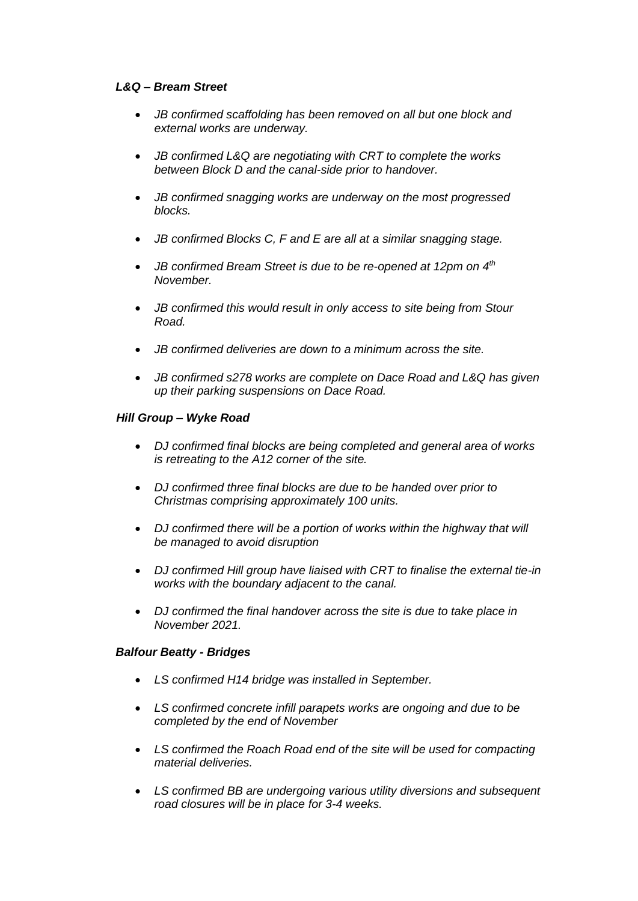#### *L&Q – Bream Street*

- *JB confirmed scaffolding has been removed on all but one block and external works are underway.*
- *JB confirmed L&Q are negotiating with CRT to complete the works between Block D and the canal-side prior to handover.*
- *JB confirmed snagging works are underway on the most progressed blocks.*
- *JB confirmed Blocks C, F and E are all at a similar snagging stage.*
- *JB confirmed Bream Street is due to be re-opened at 12pm on 4th November.*
- *JB confirmed this would result in only access to site being from Stour Road.*
- *JB confirmed deliveries are down to a minimum across the site.*
- *JB confirmed s278 works are complete on Dace Road and L&Q has given up their parking suspensions on Dace Road.*

### *Hill Group – Wyke Road*

- *DJ confirmed final blocks are being completed and general area of works is retreating to the A12 corner of the site.*
- *DJ confirmed three final blocks are due to be handed over prior to Christmas comprising approximately 100 units.*
- *DJ confirmed there will be a portion of works within the highway that will be managed to avoid disruption*
- *DJ confirmed Hill group have liaised with CRT to finalise the external tie-in works with the boundary adjacent to the canal.*
- *DJ confirmed the final handover across the site is due to take place in November 2021.*

#### *Balfour Beatty - Bridges*

- *LS confirmed H14 bridge was installed in September.*
- *LS confirmed concrete infill parapets works are ongoing and due to be completed by the end of November*
- *LS confirmed the Roach Road end of the site will be used for compacting material deliveries.*
- *LS confirmed BB are undergoing various utility diversions and subsequent road closures will be in place for 3-4 weeks.*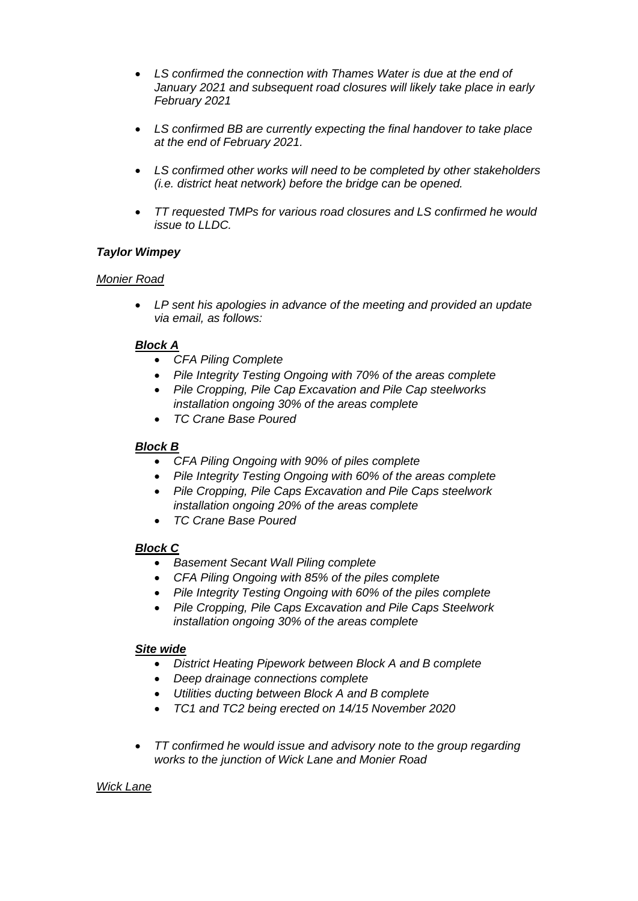- *LS confirmed the connection with Thames Water is due at the end of January 2021 and subsequent road closures will likely take place in early February 2021*
- *LS confirmed BB are currently expecting the final handover to take place at the end of February 2021.*
- *LS confirmed other works will need to be completed by other stakeholders (i.e. district heat network) before the bridge can be opened.*
- *TT requested TMPs for various road closures and LS confirmed he would issue to LLDC.*

### *Taylor Wimpey*

#### *Monier Road*

• *LP sent his apologies in advance of the meeting and provided an update via email, as follows:*

### *Block A*

- *CFA Piling Complete*
- *Pile Integrity Testing Ongoing with 70% of the areas complete*
- *Pile Cropping, Pile Cap Excavation and Pile Cap steelworks installation ongoing 30% of the areas complete*
- *TC Crane Base Poured*

# *Block B*

- *CFA Piling Ongoing with 90% of piles complete*
- *Pile Integrity Testing Ongoing with 60% of the areas complete*
- *Pile Cropping, Pile Caps Excavation and Pile Caps steelwork installation ongoing 20% of the areas complete*
- *TC Crane Base Poured*

# *Block C*

- *Basement Secant Wall Piling complete*
- *CFA Piling Ongoing with 85% of the piles complete*
- *Pile Integrity Testing Ongoing with 60% of the piles complete*
- *Pile Cropping, Pile Caps Excavation and Pile Caps Steelwork installation ongoing 30% of the areas complete*

#### *Site wide*

- *District Heating Pipework between Block A and B complete*
- *Deep drainage connections complete*
- *Utilities ducting between Block A and B complete*
- *TC1 and TC2 being erected on 14/15 November 2020*
- *TT confirmed he would issue and advisory note to the group regarding works to the junction of Wick Lane and Monier Road*

#### *Wick Lane*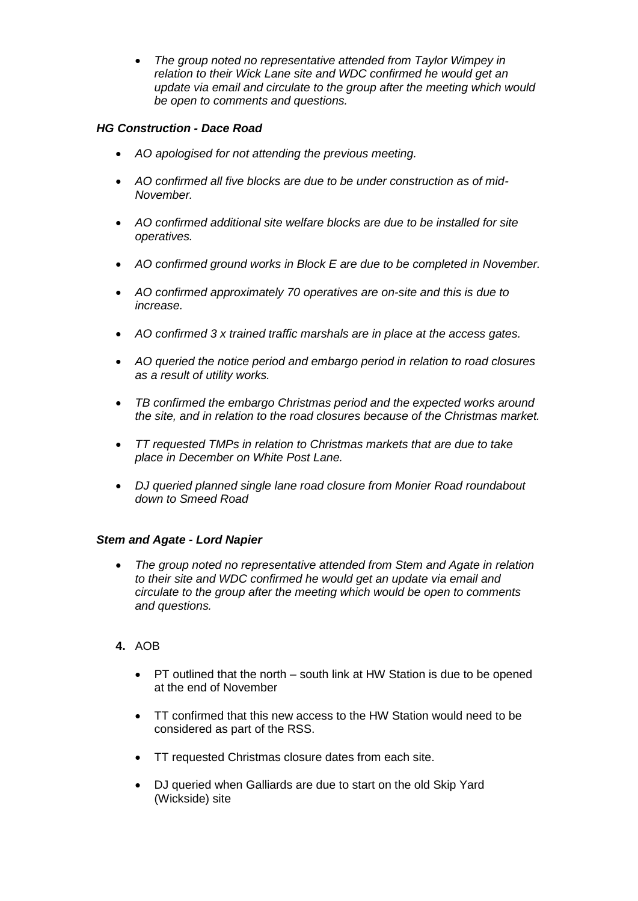• *The group noted no representative attended from Taylor Wimpey in relation to their Wick Lane site and WDC confirmed he would get an update via email and circulate to the group after the meeting which would be open to comments and questions.*

# *HG Construction - Dace Road*

- *AO apologised for not attending the previous meeting.*
- *AO confirmed all five blocks are due to be under construction as of mid-November.*
- *AO confirmed additional site welfare blocks are due to be installed for site operatives.*
- *AO confirmed ground works in Block E are due to be completed in November.*
- *AO confirmed approximately 70 operatives are on-site and this is due to increase.*
- *AO confirmed 3 x trained traffic marshals are in place at the access gates.*
- *AO queried the notice period and embargo period in relation to road closures as a result of utility works.*
- *TB confirmed the embargo Christmas period and the expected works around the site, and in relation to the road closures because of the Christmas market.*
- *TT requested TMPs in relation to Christmas markets that are due to take place in December on White Post Lane.*
- *DJ queried planned single lane road closure from Monier Road roundabout down to Smeed Road*

#### *Stem and Agate - Lord Napier*

- *The group noted no representative attended from Stem and Agate in relation to their site and WDC confirmed he would get an update via email and circulate to the group after the meeting which would be open to comments and questions.*
- **4.** AOB
	- PT outlined that the north south link at HW Station is due to be opened at the end of November
	- TT confirmed that this new access to the HW Station would need to be considered as part of the RSS.
	- TT requested Christmas closure dates from each site.
	- DJ queried when Galliards are due to start on the old Skip Yard (Wickside) site